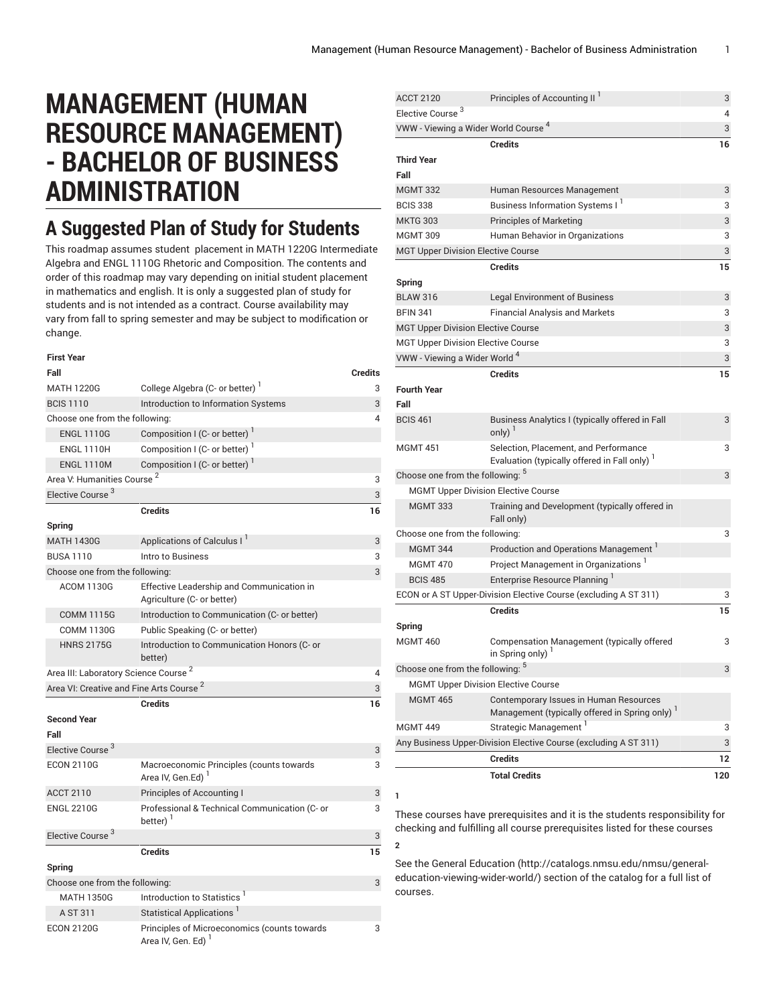## **MANAGEMENT (HUMAN RESOURCE MANAGEMENT) - BACHELOR OF BUSINESS ADMINISTRATION**

## **A Suggested Plan of Study for Students**

This roadmap assumes student placement in MATH 1220G Intermediate Algebra and ENGL 1110G Rhetoric and Composition. The contents and order of this roadmap may vary depending on initial student placement in mathematics and english. It is only a suggested plan of study for students and is not intended as a contract. Course availability may vary from fall to spring semester and may be subject to modification or change.

| <b>First Year</b>                                   |                                                                                |                |
|-----------------------------------------------------|--------------------------------------------------------------------------------|----------------|
| Fall                                                |                                                                                | <b>Credits</b> |
| <b>MATH 1220G</b>                                   | College Algebra (C- or better)                                                 | 3              |
| <b>BCIS 1110</b>                                    | Introduction to Information Systems                                            | 3              |
| Choose one from the following:                      |                                                                                |                |
| <b>ENGL 1110G</b>                                   | Composition I (C- or better)                                                   |                |
| <b>ENGL 1110H</b>                                   | Composition I (C- or better) <sup>1</sup>                                      |                |
| <b>ENGL 1110M</b>                                   | Composition I (C- or better) <sup>1</sup>                                      |                |
| Area V: Humanities Course <sup>2</sup>              |                                                                                | 3              |
| Elective Course <sup>3</sup>                        |                                                                                | 3              |
|                                                     | <b>Credits</b>                                                                 | 16             |
| Spring                                              |                                                                                |                |
| <b>MATH 1430G</b>                                   | Applications of Calculus I <sup>1</sup>                                        | 3              |
| <b>BUSA 1110</b>                                    | Intro to Business                                                              | 3              |
| Choose one from the following:                      |                                                                                | 3              |
| <b>ACOM 1130G</b>                                   | Effective Leadership and Communication in                                      |                |
|                                                     | Agriculture (C- or better)                                                     |                |
| <b>COMM 1115G</b>                                   | Introduction to Communication (C- or better)                                   |                |
| <b>COMM 1130G</b>                                   | Public Speaking (C- or better)                                                 |                |
| <b>HNRS 2175G</b>                                   | Introduction to Communication Honors (C- or<br>better)                         |                |
| Area III: Laboratory Science Course <sup>2</sup>    |                                                                                | 4              |
| Area VI: Creative and Fine Arts Course <sup>2</sup> |                                                                                | 3              |
|                                                     | <b>Credits</b>                                                                 | 16             |
| <b>Second Year</b>                                  |                                                                                |                |
| Fall                                                |                                                                                |                |
| Elective Course <sup>3</sup>                        |                                                                                | 3              |
| <b>ECON 2110G</b>                                   | Macroeconomic Principles (counts towards<br>Area IV, Gen.Ed) <sup>1</sup>      | 3              |
| <b>ACCT 2110</b>                                    | Principles of Accounting I                                                     | 3              |
| <b>ENGL 2210G</b>                                   | Professional & Technical Communication (C- or<br>better) '                     | 3              |
| Elective Course <sup>3</sup>                        |                                                                                | 3              |
|                                                     | <b>Credits</b>                                                                 | 15             |
| Spring                                              |                                                                                |                |
| Choose one from the following:                      |                                                                                | 3              |
| <b>MATH 1350G</b>                                   | Introduction to Statistics <sup>1</sup>                                        |                |
| A ST 311                                            | Statistical Applications <sup>1</sup>                                          |                |
| <b>ECON 2120G</b>                                   | Principles of Microeconomics (counts towards<br>Area IV, Gen. Ed) <sup>1</sup> | 3              |

| <b>ACCT 2120</b>                                | Principles of Accounting II <sup>1</sup>                                                             | 3   |
|-------------------------------------------------|------------------------------------------------------------------------------------------------------|-----|
| Elective Course <sup>3</sup>                    |                                                                                                      | 4   |
| VWW - Viewing a Wider World Course <sup>4</sup> |                                                                                                      | 3   |
|                                                 | <b>Credits</b>                                                                                       | 16  |
| <b>Third Year</b>                               |                                                                                                      |     |
| Fall                                            |                                                                                                      |     |
| <b>MGMT 332</b>                                 | Human Resources Management                                                                           | 3   |
| <b>BCIS 338</b>                                 | Business Information Systems I                                                                       | 3   |
| <b>MKTG 303</b>                                 | <b>Principles of Marketing</b>                                                                       | 3   |
| <b>MGMT 309</b>                                 | Human Behavior in Organizations                                                                      | 3   |
| <b>MGT Upper Division Elective Course</b>       |                                                                                                      | 3   |
|                                                 | <b>Credits</b>                                                                                       | 15  |
| Spring                                          |                                                                                                      |     |
| <b>BLAW 316</b>                                 | <b>Legal Environment of Business</b>                                                                 | 3   |
| <b>BFIN 341</b>                                 | <b>Financial Analysis and Markets</b>                                                                | 3   |
| <b>MGT Upper Division Elective Course</b>       |                                                                                                      | 3   |
| <b>MGT Upper Division Elective Course</b>       |                                                                                                      | 3   |
| VWW - Viewing a Wider World <sup>4</sup>        |                                                                                                      | 3   |
|                                                 | <b>Credits</b>                                                                                       | 15  |
| <b>Fourth Year</b>                              |                                                                                                      |     |
| Fall                                            |                                                                                                      |     |
| <b>BCIS 461</b>                                 | Business Analytics I (typically offered in Fall<br>only) $1$                                         | 3   |
| <b>MGMT 451</b>                                 | Selection, Placement, and Performance<br>Evaluation (typically offered in Fall only) <sup>1</sup>    | 3   |
| Choose one from the following: b                |                                                                                                      | 3   |
|                                                 | <b>MGMT Upper Division Elective Course</b>                                                           |     |
| <b>MGMT 333</b>                                 | Training and Development (typically offered in<br>Fall only)                                         |     |
| Choose one from the following:                  |                                                                                                      | 3   |
| <b>MGMT 344</b>                                 | Production and Operations Management                                                                 |     |
| <b>MGMT 470</b>                                 | Project Management in Organizations <sup>1</sup>                                                     |     |
| <b>BCIS 485</b>                                 | Enterprise Resource Planning                                                                         |     |
|                                                 | ECON or A ST Upper-Division Elective Course (excluding A ST 311)                                     | 3   |
|                                                 | <b>Credits</b>                                                                                       | 15  |
| Spring                                          |                                                                                                      |     |
| <b>MGMT 460</b>                                 | Compensation Management (typically offered<br>in Spring only) <sup>1</sup>                           | 3   |
| Choose one from the following: 5                |                                                                                                      | 3   |
|                                                 | <b>MGMT Upper Division Elective Course</b>                                                           |     |
| <b>MGMT 465</b>                                 | Contemporary Issues in Human Resources<br>Management (typically offered in Spring only) <sup>1</sup> |     |
| <b>MGMT 449</b>                                 | Strategic Management <sup>1</sup>                                                                    | 3   |
|                                                 | Any Business Upper-Division Elective Course (excluding A ST 311)                                     | 3   |
|                                                 | Credits                                                                                              | 12  |
|                                                 |                                                                                                      |     |
|                                                 | <b>Total Credits</b>                                                                                 | 120 |

These courses have prerequisites and it is the students responsibility for checking and fulfilling all course prerequisites listed for these courses **2**

**1**

See the General [Education](http://catalogs.nmsu.edu/nmsu/general-education-viewing-wider-world/) ([http://catalogs.nmsu.edu/nmsu/general](http://catalogs.nmsu.edu/nmsu/general-education-viewing-wider-world/)[education-viewing-wider-world/\)](http://catalogs.nmsu.edu/nmsu/general-education-viewing-wider-world/) section of the catalog for a full list of courses.